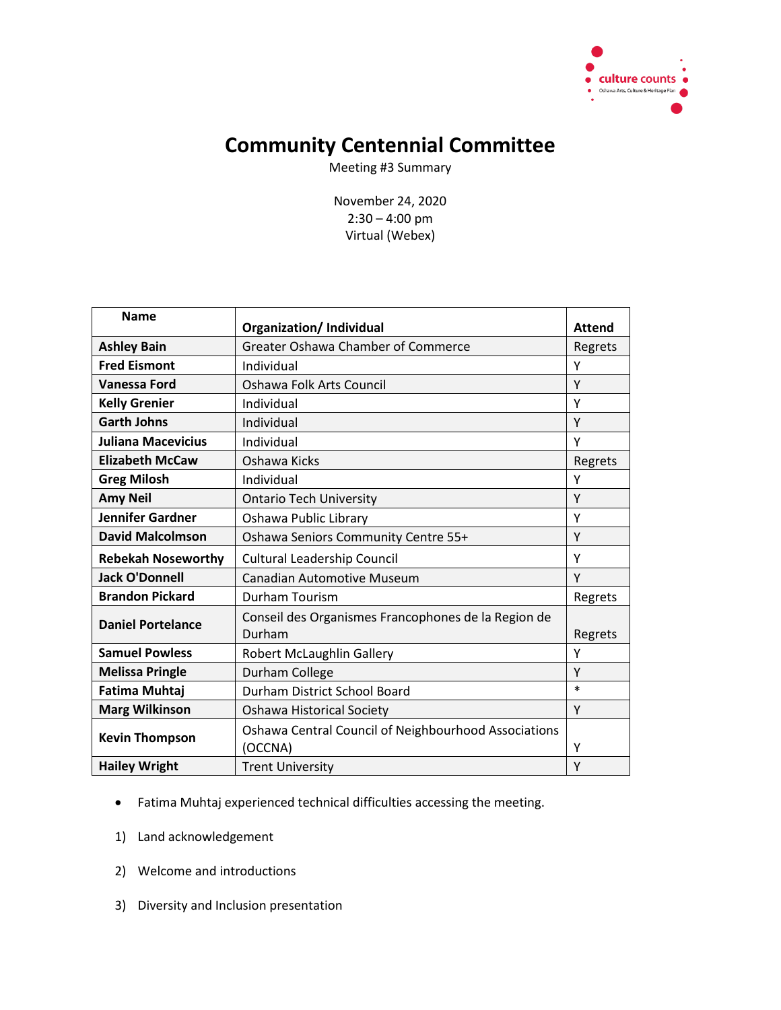

## **Community Centennial Committee**

Meeting #3 Summary

November 24, 2020 2:30 – 4:00 pm Virtual (Webex)

| <b>Name</b>               | <b>Organization/Individual</b>                                  | <b>Attend</b> |
|---------------------------|-----------------------------------------------------------------|---------------|
| <b>Ashley Bain</b>        | <b>Greater Oshawa Chamber of Commerce</b>                       | Regrets       |
| <b>Fred Eismont</b>       | Individual                                                      | Υ             |
| <b>Vanessa Ford</b>       | Oshawa Folk Arts Council                                        | Υ             |
| <b>Kelly Grenier</b>      | Individual                                                      | Υ             |
| <b>Garth Johns</b>        | Individual                                                      | Y             |
| <b>Juliana Macevicius</b> | Individual                                                      | Y             |
| <b>Elizabeth McCaw</b>    | Oshawa Kicks                                                    | Regrets       |
| <b>Greg Milosh</b>        | Individual                                                      | Υ             |
| <b>Amy Neil</b>           | <b>Ontario Tech University</b>                                  | Y             |
| <b>Jennifer Gardner</b>   | Oshawa Public Library                                           | Υ             |
| <b>David Malcolmson</b>   | Oshawa Seniors Community Centre 55+                             | Y             |
| <b>Rebekah Noseworthy</b> | <b>Cultural Leadership Council</b>                              | Υ             |
| <b>Jack O'Donnell</b>     | <b>Canadian Automotive Museum</b>                               | Υ             |
| <b>Brandon Pickard</b>    | <b>Durham Tourism</b>                                           | Regrets       |
| <b>Daniel Portelance</b>  | Conseil des Organismes Francophones de la Region de<br>Durham   | Regrets       |
| <b>Samuel Powless</b>     | <b>Robert McLaughlin Gallery</b>                                | Υ             |
| <b>Melissa Pringle</b>    | Durham College                                                  | Υ             |
| <b>Fatima Muhtaj</b>      | Durham District School Board                                    | $\ast$        |
| <b>Marg Wilkinson</b>     | <b>Oshawa Historical Society</b>                                | Y             |
| <b>Kevin Thompson</b>     | Oshawa Central Council of Neighbourhood Associations<br>(OCCNA) | Υ             |
| <b>Hailey Wright</b>      | <b>Trent University</b>                                         | Υ             |

## Fatima Muhtaj experienced technical difficulties accessing the meeting.

- 1) Land acknowledgement
- 2) Welcome and introductions
- 3) Diversity and Inclusion presentation